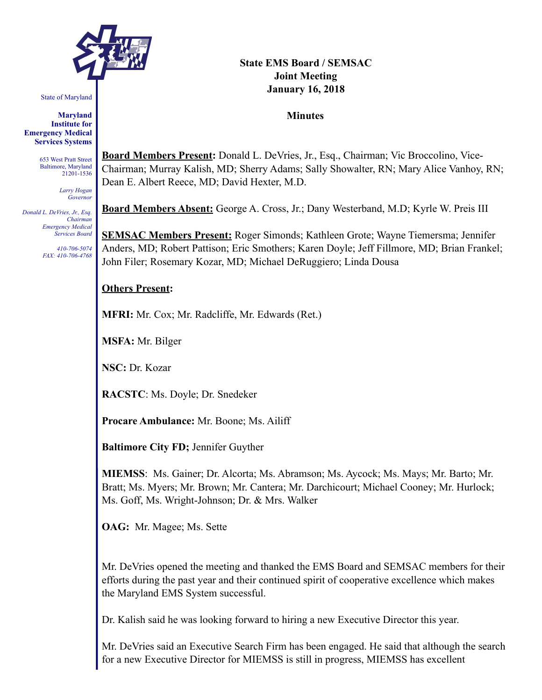

State of Maryland

**Maryland Institute for Emergency Medical Services Systems** 

> 653 West Pratt Street Baltimore, Maryland 21201-1536

> > *Larry Hogan Governor*

*Donald L. DeVries, Jr., Esq. Chairman Emergency Medical Services Board* 

> *410-706-5074 FAX: 410-706-4768*

# **State EMS Board / SEMSAC Joint Meeting January 16, 2018**

#### **Minutes**

**Board Members Present:** Donald L. DeVries, Jr., Esq., Chairman; Vic Broccolino, Vice-Chairman; Murray Kalish, MD; Sherry Adams; Sally Showalter, RN; Mary Alice Vanhoy, RN; Dean E. Albert Reece, MD; David Hexter, M.D.

**Board Members Absent:** George A. Cross, Jr.; Dany Westerband, M.D; Kyrle W. Preis III

**SEMSAC Members Present:** Roger Simonds; Kathleen Grote; Wayne Tiemersma; Jennifer Anders, MD; Robert Pattison; Eric Smothers; Karen Doyle; Jeff Fillmore, MD; Brian Frankel; John Filer; Rosemary Kozar, MD; Michael DeRuggiero; Linda Dousa

### **Others Present:**

**MFRI:** Mr. Cox; Mr. Radcliffe, Mr. Edwards (Ret.)

**MSFA:** Mr. Bilger

**NSC:** Dr. Kozar

**RACSTC**: Ms. Doyle; Dr. Snedeker

**Procare Ambulance:** Mr. Boone; Ms. Ailiff

**Baltimore City FD;** Jennifer Guyther

**MIEMSS**: Ms. Gainer; Dr. Alcorta; Ms. Abramson; Ms. Aycock; Ms. Mays; Mr. Barto; Mr. Bratt; Ms. Myers; Mr. Brown; Mr. Cantera; Mr. Darchicourt; Michael Cooney; Mr. Hurlock; Ms. Goff, Ms. Wright-Johnson; Dr. & Mrs. Walker

**OAG:** Mr. Magee; Ms. Sette

Mr. DeVries opened the meeting and thanked the EMS Board and SEMSAC members for their efforts during the past year and their continued spirit of cooperative excellence which makes the Maryland EMS System successful.

Dr. Kalish said he was looking forward to hiring a new Executive Director this year.

Mr. DeVries said an Executive Search Firm has been engaged. He said that although the search for a new Executive Director for MIEMSS is still in progress, MIEMSS has excellent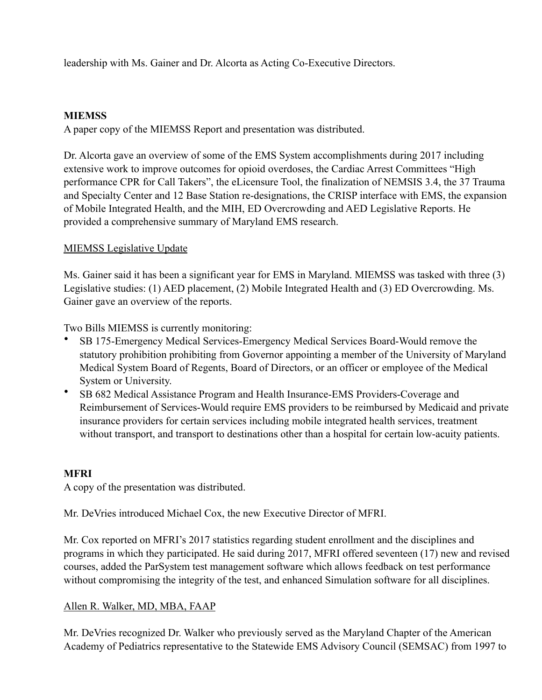leadership with Ms. Gainer and Dr. Alcorta as Acting Co-Executive Directors.

## **MIEMSS**

A paper copy of the MIEMSS Report and presentation was distributed.

Dr. Alcorta gave an overview of some of the EMS System accomplishments during 2017 including extensive work to improve outcomes for opioid overdoses, the Cardiac Arrest Committees "High performance CPR for Call Takers", the eLicensure Tool, the finalization of NEMSIS 3.4, the 37 Trauma and Specialty Center and 12 Base Station re-designations, the CRISP interface with EMS, the expansion of Mobile Integrated Health, and the MIH, ED Overcrowding and AED Legislative Reports. He provided a comprehensive summary of Maryland EMS research.

## MIEMSS Legislative Update

Ms. Gainer said it has been a significant year for EMS in Maryland. MIEMSS was tasked with three (3) Legislative studies: (1) AED placement, (2) Mobile Integrated Health and (3) ED Overcrowding. Ms. Gainer gave an overview of the reports.

Two Bills MIEMSS is currently monitoring:

- SB 175-Emergency Medical Services-Emergency Medical Services Board-Would remove the statutory prohibition prohibiting from Governor appointing a member of the University of Maryland Medical System Board of Regents, Board of Directors, or an officer or employee of the Medical System or University.
- SB 682 Medical Assistance Program and Health Insurance-EMS Providers-Coverage and Reimbursement of Services-Would require EMS providers to be reimbursed by Medicaid and private insurance providers for certain services including mobile integrated health services, treatment without transport, and transport to destinations other than a hospital for certain low-acuity patients.

# **MFRI**

A copy of the presentation was distributed.

Mr. DeVries introduced Michael Cox, the new Executive Director of MFRI.

Mr. Cox reported on MFRI's 2017 statistics regarding student enrollment and the disciplines and programs in which they participated. He said during 2017, MFRI offered seventeen (17) new and revised courses, added the ParSystem test management software which allows feedback on test performance without compromising the integrity of the test, and enhanced Simulation software for all disciplines.

### Allen R. Walker, MD, MBA, FAAP

Mr. DeVries recognized Dr. Walker who previously served as the Maryland Chapter of the American Academy of Pediatrics representative to the Statewide EMS Advisory Council (SEMSAC) from 1997 to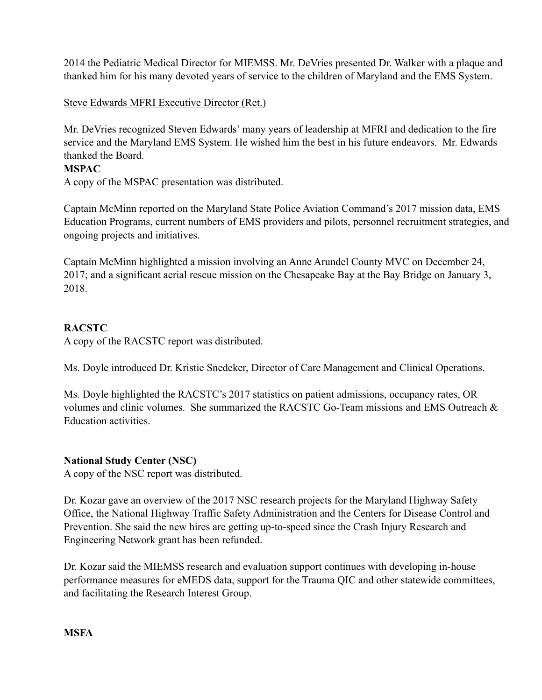2014 the Pediatric Medical Director for MIEMSS. Mr. DeVries presented Dr. Walker with a plaque and thanked him for his many devoted years of service to the children of Maryland and the EMS System.

## Steve Edwards MFRI Executive Director (Ret.)

Mr. DeVries recognized Steven Edwards' many years of leadership at MFRI and dedication to the fire service and the Maryland EMS System. He wished him the best in his future endeavors. Mr. Edwards thanked the Board.

### **MSPAC**

A copy of the MSPAC presentation was distributed.

Captain McMinn reported on the Maryland State Police Aviation Command's 2017 mission data, EMS Education Programs, current numbers of EMS providers and pilots, personnel recruitment strategies, and ongoing projects and initiatives.

Captain McMinn highlighted a mission involving an Anne Arundel County MVC on December 24, 2017; and a significant aerial rescue mission on the Chesapeake Bay at the Bay Bridge on January 3, 2018.

## **RACSTC**

A copy of the RACSTC report was distributed.

Ms. Doyle introduced Dr. Kristie Snedeker, Director of Care Management and Clinical Operations.

Ms. Doyle highlighted the RACSTC's 2017 statistics on patient admissions, occupancy rates, OR volumes and clinic volumes. She summarized the RACSTC Go-Team missions and EMS Outreach & Education activities.

### **National Study Center (NSC)**

A copy of the NSC report was distributed.

Dr. Kozar gave an overview of the 2017 NSC research projects for the Maryland Highway Safety Office, the National Highway Traffic Safety Administration and the Centers for Disease Control and Prevention. She said the new hires are getting up-to-speed since the Crash Injury Research and Engineering Network grant has been refunded.

Dr. Kozar said the MIEMSS research and evaluation support continues with developing in-house performance measures for eMEDS data, support for the Trauma QIC and other statewide committees, and facilitating the Research Interest Group.

**MSFA**